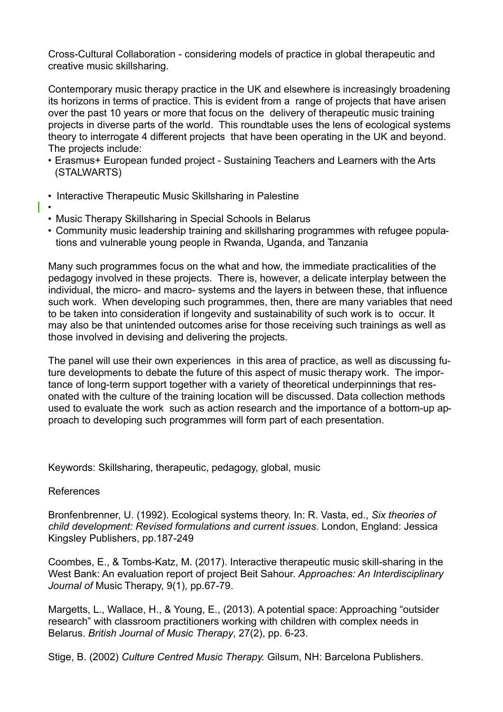Cross-Cultural Collaboration - considering models of practice in global therapeutic and creative music skillsharing.

Contemporary music therapy practice in the UK and elsewhere is increasingly broadening its horizons in terms of practice. This is evident from a range of projects that have arisen over the past 10 years or more that focus on the delivery of therapeutic music training projects in diverse parts of the world. This roundtable uses the lens of ecological systems theory to interrogate 4 different projects that have been operating in the UK and beyond. The projects include:

- Erasmus+ European funded project Sustaining Teachers and Learners with the Arts (STALWARTS)
- Interactive Therapeutic Music Skillsharing in Palestine
- - Music Therapy Skillsharing in Special Schools in Belarus
	- Community music leadership training and skillsharing programmes with refugee populations and vulnerable young people in Rwanda, Uganda, and Tanzania

Many such programmes focus on the what and how, the immediate practicalities of the pedagogy involved in these projects. There is, however, a delicate interplay between the individual, the micro- and macro- systems and the layers in between these, that influence such work. When developing such programmes, then, there are many variables that need to be taken into consideration if longevity and sustainability of such work is to occur. It may also be that unintended outcomes arise for those receiving such trainings as well as those involved in devising and delivering the projects.

The panel will use their own experiences in this area of practice, as well as discussing future developments to debate the future of this aspect of music therapy work. The importance of long-term support together with a variety of theoretical underpinnings that resonated with the culture of the training location will be discussed. Data collection methods used to evaluate the work such as action research and the importance of a bottom-up approach to developing such programmes will form part of each presentation.

Keywords: Skillsharing, therapeutic, pedagogy, global, music

## References

Bronfenbrenner, U. (1992). Ecological systems theory. In: R. Vasta, ed., *Six theories of child development: Revised formulations and current issues*. London, England: Jessica Kingsley Publishers, pp.187-249

Coombes, E., & Tombs-Katz, M. (2017). Interactive therapeutic music skill-sharing in the West Bank: An evaluation report of project Beit Sahour. *Approaches: An Interdisciplinary Journal of* Music Therapy, 9(1), pp.67-79.

Margetts, L., Wallace, H., & Young, E., (2013). A potential space: Approaching "outsider research" with classroom practitioners working with children with complex needs in Belarus. *British Journal of Music Therapy*, 27(2), pp. 6-23.

Stige, B. (2002) *Culture Centred Music Therapy.* Gilsum, NH: Barcelona Publishers.